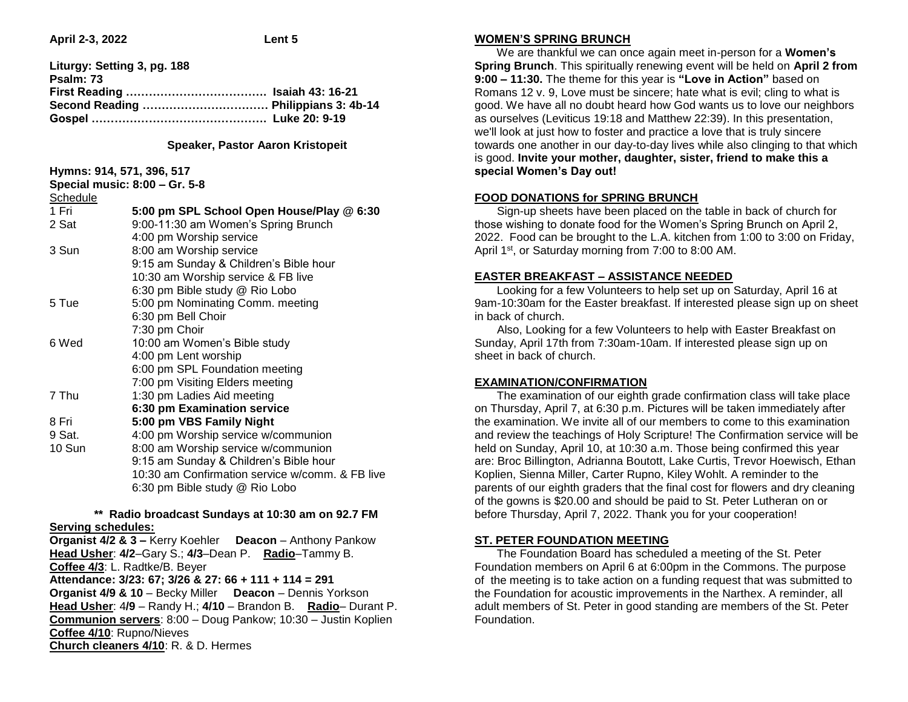**April 2-3, 2022 Lent 5** 

| Liturgy: Setting 3, pg. 188 |  |
|-----------------------------|--|
| Psalm: 73                   |  |
|                             |  |
|                             |  |
|                             |  |
|                             |  |

## **Speaker, Pastor Aaron Kristopeit**

## **Hymns: 914, 571, 396, 517**

| Special music: 8:00 - Gr. 5-8 |                                                 |
|-------------------------------|-------------------------------------------------|
| Schedule                      |                                                 |
| 1 Fri                         | 5:00 pm SPL School Open House/Play @ 6:30       |
| 2 Sat                         | 9:00-11:30 am Women's Spring Brunch             |
|                               | 4:00 pm Worship service                         |
| 3 Sun                         | 8:00 am Worship service                         |
|                               | 9:15 am Sunday & Children's Bible hour          |
|                               | 10:30 am Worship service & FB live              |
|                               | 6:30 pm Bible study @ Rio Lobo                  |
| 5 Tue                         | 5:00 pm Nominating Comm. meeting                |
|                               | 6:30 pm Bell Choir                              |
|                               | 7:30 pm Choir                                   |
| 6 Wed                         | 10:00 am Women's Bible study                    |
|                               | 4:00 pm Lent worship                            |
|                               | 6:00 pm SPL Foundation meeting                  |
|                               | 7:00 pm Visiting Elders meeting                 |
| 7 Thu                         | 1:30 pm Ladies Aid meeting                      |
|                               | 6:30 pm Examination service                     |
| 8 Fri                         | 5:00 pm VBS Family Night                        |
| 9 Sat.                        | 4:00 pm Worship service w/communion             |
| 10 Sun                        | 8:00 am Worship service w/communion             |
|                               | 9:15 am Sunday & Children's Bible hour          |
|                               | 10:30 am Confirmation service w/comm. & FB live |
|                               | 6:30 pm Bible study @ Rio Lobo                  |
|                               |                                                 |

## **\*\* Radio broadcast Sundays at 10:30 am on 92.7 FM Serving schedules:**

**Organist 4/2 & 3 –** Kerry Koehler **Deacon** – Anthony Pankow **Head Usher**: **4/2**–Gary S.; **4/3**–Dean P. **Radio**–Tammy B. **Coffee 4/3**: L. Radtke/B. Beyer **Attendance: 3/23: 67; 3/26 & 27: 66 + 111 + 114 = 291 Organist 4/9 & 10** – Becky Miller **Deacon** – Dennis Yorkson **Head Usher**: 4**/9** – Randy H.; **4/10** – Brandon B. **Radio**– Durant P. **Communion servers**: 8:00 – Doug Pankow; 10:30 – Justin Koplien **Coffee 4/10**: Rupno/Nieves **Church cleaners 4/10**: R. & D. Hermes

# **WOMEN'S SPRING BRUNCH**

 We are thankful we can once again meet in-person for a **Women's Spring Brunch**. This spiritually renewing event will be held on **April 2 from 9:00 – 11:30.** The theme for this year is **"Love in Action"** based on Romans 12 v. 9, Love must be sincere; hate what is evil; cling to what is good. We have all no doubt heard how God wants us to love our neighbors as ourselves (Leviticus 19:18 and Matthew 22:39). In this presentation, we'll look at just how to foster and practice a love that is truly sincere towards one another in our day-to-day lives while also clinging to that which is good. **Invite your mother, daughter, sister, friend to make this a special Women's Day out!** 

## **FOOD DONATIONS for SPRING BRUNCH**

 Sign-up sheets have been placed on the table in back of church for those wishing to donate food for the Women's Spring Brunch on April 2, 2022. Food can be brought to the L.A. kitchen from 1:00 to 3:00 on Friday, April 1<sup>st</sup>, or Saturday morning from 7:00 to 8:00 AM.

## **EASTER BREAKFAST – ASSISTANCE NEEDED**

 Looking for a few Volunteers to help set up on Saturday, April 16 at 9am-10:30am for the Easter breakfast. If interested please sign up on sheet in back of church.

 Also, Looking for a few Volunteers to help with Easter Breakfast on Sunday, April 17th from 7:30am-10am. If interested please sign up on sheet in back of church.

# **EXAMINATION/CONFIRMATION**

 The examination of our eighth grade confirmation class will take place on Thursday, April 7, at 6:30 p.m. Pictures will be taken immediately after the examination. We invite all of our members to come to this examination and review the teachings of Holy Scripture! The Confirmation service will be held on Sunday, April 10, at 10:30 a.m. Those being confirmed this year are: Broc Billington, Adrianna Boutott, Lake Curtis, Trevor Hoewisch, Ethan Koplien, Sienna Miller, Carter Rupno, Kiley Wohlt. A reminder to the parents of our eighth graders that the final cost for flowers and dry cleaning of the gowns is \$20.00 and should be paid to St. Peter Lutheran on or before Thursday, April 7, 2022. Thank you for your cooperation!

# **ST. PETER FOUNDATION MEETING**

 The Foundation Board has scheduled a meeting of the St. Peter Foundation members on April 6 at 6:00pm in the Commons. The purpose of the meeting is to take action on a funding request that was submitted to the Foundation for acoustic improvements in the Narthex. A reminder, all adult members of St. Peter in good standing are members of the St. Peter Foundation.